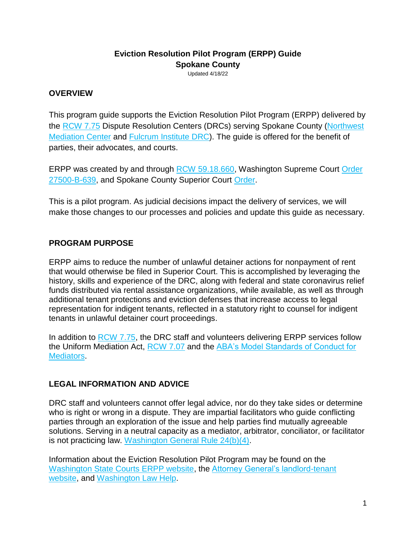# **Eviction Resolution Pilot Program (ERPP) Guide Spokane County**

Updated 4/18/22

## **OVERVIEW**

This program guide supports the Eviction Resolution Pilot Program (ERPP) delivered by the [RCW 7.75](https://app.leg.wa.gov/rcw/default.aspx?cite=7.75&full=true) Dispute Resolution Centers (DRCs) serving Spokane County (Northwest [Mediation Center](https://www.nwmediationcenter.com/) and [Fulcrum Institute DRC\)](http://fulcrumdispute.org/). The guide is offered for the benefit of parties, their advocates, and courts.

ERPP was created by and through [RCW 59.18.660,](https://app.leg.wa.gov/RCW/default.aspx?cite=59.18.660) Washington Supreme Court Order [27500-B-639,](http://www.courts.wa.gov/content/publicUpload/Supreme%20Court%20Orders/EvictionsResolutionProgramAuthorizingOrder090920.pdf) and Spokane County Superior Court [Order.](https://www.spokanecounty.org/DocumentCenter/View/35638/Standing-Order-Updated-3-4-2022?bidId=)

This is a pilot program. As judicial decisions impact the delivery of services, we will make those changes to our processes and policies and update this guide as necessary.

## **PROGRAM PURPOSE**

ERPP aims to reduce the number of unlawful detainer actions for nonpayment of rent that would otherwise be filed in Superior Court. This is accomplished by leveraging the history, skills and experience of the DRC, along with federal and state coronavirus relief funds distributed via rental assistance organizations, while available, as well as through additional tenant protections and eviction defenses that increase access to legal representation for indigent tenants, reflected in a statutory right to counsel for indigent tenants in unlawful detainer court proceedings.

In addition to [RCW 7.75,](https://app.leg.wa.gov/rcw/default.aspx?cite=7.75) the DRC staff and volunteers delivering ERPP services follow the Uniform Mediation Act, [RCW 7.07](https://app.leg.wa.gov/rcw/default.aspx?cite=7.07) and the [ABA's Model Standards of Conduct for](https://www.americanbar.org/content/dam/aba/administrative/dispute_resolution/dispute_resolution/model_standards_conduct_april2007.pdf)  [Mediators.](https://www.americanbar.org/content/dam/aba/administrative/dispute_resolution/dispute_resolution/model_standards_conduct_april2007.pdf)

#### **LEGAL INFORMATION AND ADVICE**

DRC staff and volunteers cannot offer legal advice, nor do they take sides or determine who is right or wrong in a dispute. They are impartial facilitators who quide conflicting parties through an exploration of the issue and help parties find mutually agreeable solutions. Serving in a neutral capacity as a mediator, arbitrator, conciliator, or facilitator is not practicing law. [Washington General Rule 24\(b\)\(4\).](https://www.courts.wa.gov/court_rules/pdf/GR/GA_GR_24_00_00.pdf)

Information about the Eviction Resolution Pilot Program may be found on the [Washington State Courts ERPP website,](https://www.courts.wa.gov/newsinfo/index.cfm?fa=newsinfo.EvictionResolutionProgram) the [Attorney General's landlord-tenant](https://www.atg.wa.gov/landlord-tenant)  [website,](https://www.atg.wa.gov/landlord-tenant) and [Washington Law Help.](https://www.washingtonlawhelp.org/resource/washington-state-new-2021-landlordtenant-legislation)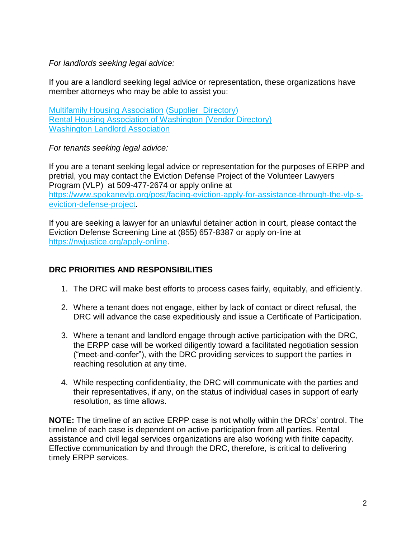*For landlords seeking legal advice:*

If you are a landlord seeking legal advice or representation, these organizations have member attorneys who may be able to assist you:

[Multifamily Housing Association](https://www.wmfha.org/) [\(Supplier Directory\)](https://www.wmfha.org/statewide-supplier-directory) [Rental Housing Association of Washington](https://www.rhawa.org/) [\(Vendor Directory\)](https://www.rhawa.org/vendor-directory/attorneys) [Washington Landlord Association](https://www.walandlord.org/)

*For tenants seeking legal advice:*

If you are a tenant seeking legal advice or representation for the purposes of ERPP and pretrial, you may contact the Eviction Defense Project of the Volunteer Lawyers Program (VLP) at 509-477-2674 or apply online at [https://www.spokanevlp.org/post/facing-eviction-apply-for-assistance-through-the-vlp-s](https://www.spokanevlp.org/post/facing-eviction-apply-for-assistance-through-the-vlp-s-eviction-defense-project)[eviction-defense-project.](https://www.spokanevlp.org/post/facing-eviction-apply-for-assistance-through-the-vlp-s-eviction-defense-project)

If you are seeking a lawyer for an unlawful detainer action in court, please contact the Eviction Defense Screening Line at (855) 657-8387 or apply on-line at [https://nwjustice.org/apply-online.](https://nwjustice.org/apply-online)

#### **DRC PRIORITIES AND RESPONSIBILITIES**

- 1. The DRC will make best efforts to process cases fairly, equitably, and efficiently.
- 2. Where a tenant does not engage, either by lack of contact or direct refusal, the DRC will advance the case expeditiously and issue a Certificate of Participation.
- 3. Where a tenant and landlord engage through active participation with the DRC, the ERPP case will be worked diligently toward a facilitated negotiation session ("meet-and-confer"), with the DRC providing services to support the parties in reaching resolution at any time.
- 4. While respecting confidentiality, the DRC will communicate with the parties and their representatives, if any, on the status of individual cases in support of early resolution, as time allows.

**NOTE:** The timeline of an active ERPP case is not wholly within the DRCs' control. The timeline of each case is dependent on active participation from all parties. Rental assistance and civil legal services organizations are also working with finite capacity. Effective communication by and through the DRC, therefore, is critical to delivering timely ERPP services.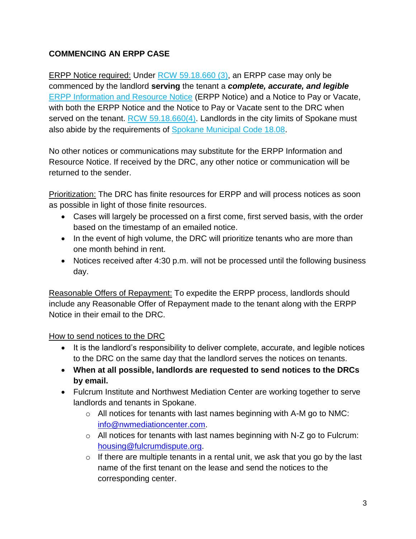# **COMMENCING AN ERPP CASE**

ERPP Notice required: Under [RCW 59.18.660 \(3\),](https://app.leg.wa.gov/RCW/default.aspx?cite=59.18.660) an ERPP case may only be commenced by the landlord **serving** the tenant a *complete, accurate, and legible* [ERPP Information and Resource Notice](https://agportal-s3bucket.s3.amazonaws.com/uploadedfiles/Another/Safeguarding_Consumers/Eviction%20Form.pdf) (ERPP Notice) and a Notice to Pay or Vacate, with both the ERPP Notice and the Notice to Pay or Vacate sent to the DRC when served on the tenant. [RCW 59.18.660\(4\).](https://app.leg.wa.gov/RCW/default.aspx?cite=59.18.660) Landlords in the city limits of Spokane must also abide by the requirements of [Spokane Municipal Code 18.08.](https://my.spokanecity.org/smc/?Chapter=18.08)

No other notices or communications may substitute for the ERPP Information and Resource Notice. If received by the DRC, any other notice or communication will be returned to the sender.

Prioritization: The DRC has finite resources for ERPP and will process notices as soon as possible in light of those finite resources.

- Cases will largely be processed on a first come, first served basis, with the order based on the timestamp of an emailed notice.
- In the event of high volume, the DRC will prioritize tenants who are more than one month behind in rent.
- Notices received after 4:30 p.m. will not be processed until the following business day.

Reasonable Offers of Repayment: To expedite the ERPP process, landlords should include any Reasonable Offer of Repayment made to the tenant along with the ERPP Notice in their email to the DRC.

How to send notices to the DRC

- It is the landlord's responsibility to deliver complete, accurate, and legible notices to the DRC on the same day that the landlord serves the notices on tenants.
- **When at all possible, landlords are requested to send notices to the DRCs by email.**
- Fulcrum Institute and Northwest Mediation Center are working together to serve landlords and tenants in Spokane.
	- $\circ$  All notices for tenants with last names beginning with A-M go to NMC: [info@nwmediationcenter.com.](mailto:info@nwmediationcenter.com)
	- o All notices for tenants with last names beginning with N-Z go to Fulcrum: [housing@fulcrumdispute.org.](mailto:housing@fulcrumdispute.org)
	- $\circ$  If there are multiple tenants in a rental unit, we ask that you go by the last name of the first tenant on the lease and send the notices to the corresponding center.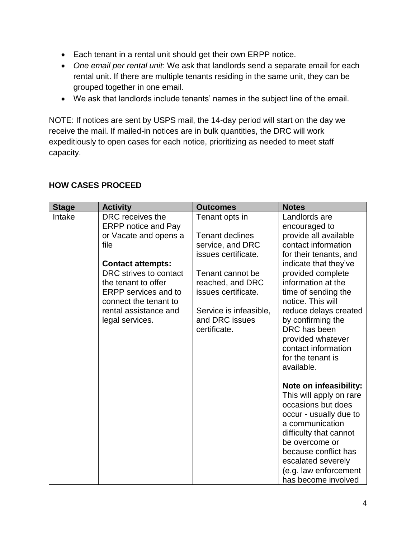- Each tenant in a rental unit should get their own ERPP notice.
- *One email per rental unit*: We ask that landlords send a separate email for each rental unit. If there are multiple tenants residing in the same unit, they can be grouped together in one email.
- We ask that landlords include tenants' names in the subject line of the email.

NOTE: If notices are sent by USPS mail, the 14-day period will start on the day we receive the mail. If mailed-in notices are in bulk quantities, the DRC will work expeditiously to open cases for each notice, prioritizing as needed to meet staff capacity.

| <b>Stage</b> | <b>Activity</b>                                                                                                                                                                                                                                                  | <b>Outcomes</b>                                                                                                                                                                                | <b>Notes</b>                                                                                                                                                                                                                                                           |
|--------------|------------------------------------------------------------------------------------------------------------------------------------------------------------------------------------------------------------------------------------------------------------------|------------------------------------------------------------------------------------------------------------------------------------------------------------------------------------------------|------------------------------------------------------------------------------------------------------------------------------------------------------------------------------------------------------------------------------------------------------------------------|
| Intake       | DRC receives the<br><b>ERPP notice and Pay</b><br>or Vacate and opens a<br>file<br><b>Contact attempts:</b><br>DRC strives to contact<br>the tenant to offer<br><b>ERPP</b> services and to<br>connect the tenant to<br>rental assistance and<br>legal services. | Tenant opts in<br><b>Tenant declines</b><br>service, and DRC<br>issues certificate.<br>Tenant cannot be<br>reached, and DRC<br>issues certificate.<br>Service is infeasible,<br>and DRC issues | Landlords are<br>encouraged to<br>provide all available<br>contact information<br>for their tenants, and<br>indicate that they've<br>provided complete<br>information at the<br>time of sending the<br>notice. This will<br>reduce delays created<br>by confirming the |
|              |                                                                                                                                                                                                                                                                  | certificate.                                                                                                                                                                                   | DRC has been<br>provided whatever<br>contact information<br>for the tenant is<br>available.                                                                                                                                                                            |
|              |                                                                                                                                                                                                                                                                  |                                                                                                                                                                                                | Note on infeasibility:<br>This will apply on rare<br>occasions but does<br>occur - usually due to<br>a communication<br>difficulty that cannot<br>be overcome or<br>because conflict has<br>escalated severely<br>(e.g. law enforcement<br>has become involved         |

#### **HOW CASES PROCEED**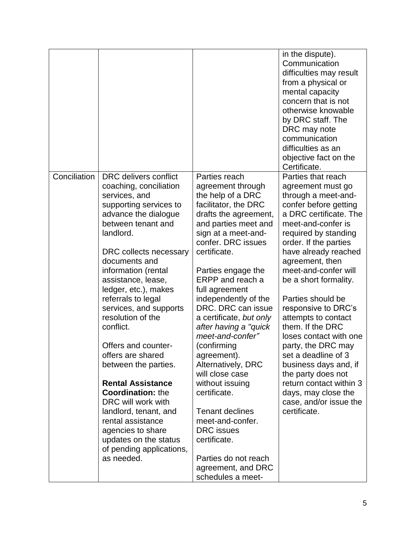|              |                                                                                                                                                                                                                                                                                                                                                                                                                                                                                                                                                                                                                                                 |                                                                                                                                                                                                                                                                                                                                                                                                                                                                                                                                                                                                                                                  | in the dispute).<br>Communication<br>difficulties may result<br>from a physical or<br>mental capacity<br>concern that is not<br>otherwise knowable<br>by DRC staff. The<br>DRC may note<br>communication<br>difficulties as an<br>objective fact on the<br>Certificate.                                                                                                                                                                                                                                                                                                                       |
|--------------|-------------------------------------------------------------------------------------------------------------------------------------------------------------------------------------------------------------------------------------------------------------------------------------------------------------------------------------------------------------------------------------------------------------------------------------------------------------------------------------------------------------------------------------------------------------------------------------------------------------------------------------------------|--------------------------------------------------------------------------------------------------------------------------------------------------------------------------------------------------------------------------------------------------------------------------------------------------------------------------------------------------------------------------------------------------------------------------------------------------------------------------------------------------------------------------------------------------------------------------------------------------------------------------------------------------|-----------------------------------------------------------------------------------------------------------------------------------------------------------------------------------------------------------------------------------------------------------------------------------------------------------------------------------------------------------------------------------------------------------------------------------------------------------------------------------------------------------------------------------------------------------------------------------------------|
| Conciliation | DRC delivers conflict<br>coaching, conciliation<br>services, and<br>supporting services to<br>advance the dialogue<br>between tenant and<br>landlord.<br>DRC collects necessary<br>documents and<br>information (rental<br>assistance, lease,<br>ledger, etc.), makes<br>referrals to legal<br>services, and supports<br>resolution of the<br>conflict.<br>Offers and counter-<br>offers are shared<br>between the parties.<br><b>Rental Assistance</b><br><b>Coordination: the</b><br>DRC will work with<br>landlord, tenant, and<br>rental assistance<br>agencies to share<br>updates on the status<br>of pending applications,<br>as needed. | Parties reach<br>agreement through<br>the help of a DRC<br>facilitator, the DRC<br>drafts the agreement,<br>and parties meet and<br>sign at a meet-and-<br>confer. DRC issues<br>certificate.<br>Parties engage the<br>ERPP and reach a<br>full agreement<br>independently of the<br>DRC. DRC can issue<br>a certificate, but only<br>after having a "quick"<br>meet-and-confer"<br>(confirming<br>agreement).<br>Alternatively, DRC<br>will close case<br>without issuing<br>certificate.<br><b>Tenant declines</b><br>meet-and-confer.<br><b>DRC</b> issues<br>certificate.<br>Parties do not reach<br>agreement, and DRC<br>schedules a meet- | Parties that reach<br>agreement must go<br>through a meet-and-<br>confer before getting<br>a DRC certificate. The<br>meet-and-confer is<br>required by standing<br>order. If the parties<br>have already reached<br>agreement, then<br>meet-and-confer will<br>be a short formality.<br>Parties should be<br>responsive to DRC's<br>attempts to contact<br>them. If the DRC<br>loses contact with one<br>party, the DRC may<br>set a deadline of 3<br>business days and, if<br>the party does not<br>return contact within 3<br>days, may close the<br>case, and/or issue the<br>certificate. |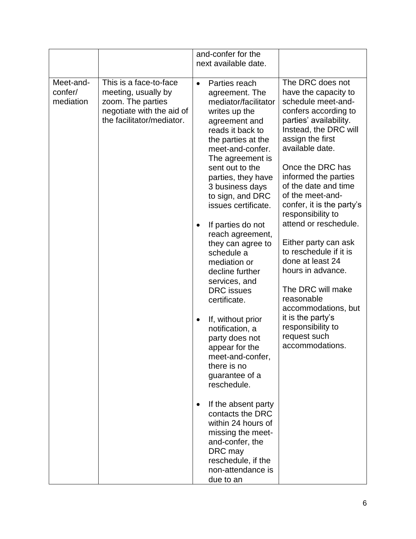|                                   |                                                                                                                              |                | and-confer for the<br>next available date.                                                                                                                                                                                                                                                                                                                                                                                                                                                                                                                                               |                                                                                                                                                                                                                                                                                                                                                                                                                                                                                                                                                                                       |
|-----------------------------------|------------------------------------------------------------------------------------------------------------------------------|----------------|------------------------------------------------------------------------------------------------------------------------------------------------------------------------------------------------------------------------------------------------------------------------------------------------------------------------------------------------------------------------------------------------------------------------------------------------------------------------------------------------------------------------------------------------------------------------------------------|---------------------------------------------------------------------------------------------------------------------------------------------------------------------------------------------------------------------------------------------------------------------------------------------------------------------------------------------------------------------------------------------------------------------------------------------------------------------------------------------------------------------------------------------------------------------------------------|
| Meet-and-<br>confer/<br>mediation | This is a face-to-face<br>meeting, usually by<br>zoom. The parties<br>negotiate with the aid of<br>the facilitator/mediator. | $\bullet$<br>٠ | Parties reach<br>agreement. The<br>mediator/facilitator<br>writes up the<br>agreement and<br>reads it back to<br>the parties at the<br>meet-and-confer.<br>The agreement is<br>sent out to the<br>parties, they have<br>3 business days<br>to sign, and DRC<br>issues certificate.<br>If parties do not<br>reach agreement,<br>they can agree to<br>schedule a<br>mediation or<br>decline further<br>services, and<br><b>DRC</b> issues<br>certificate.<br>If, without prior<br>notification, a<br>party does not<br>appear for the<br>meet-and-confer,<br>there is no<br>guarantee of a | The DRC does not<br>have the capacity to<br>schedule meet-and-<br>confers according to<br>parties' availability.<br>Instead, the DRC will<br>assign the first<br>available date.<br>Once the DRC has<br>informed the parties<br>of the date and time<br>of the meet-and-<br>confer, it is the party's<br>responsibility to<br>attend or reschedule.<br>Either party can ask<br>to reschedule if it is<br>done at least 24<br>hours in advance.<br>The DRC will make<br>reasonable<br>accommodations, but<br>it is the party's<br>responsibility to<br>request such<br>accommodations. |
|                                   |                                                                                                                              | $\bullet$      | reschedule.<br>If the absent party<br>contacts the DRC<br>within 24 hours of<br>missing the meet-<br>and-confer, the<br>DRC may<br>reschedule, if the<br>non-attendance is<br>due to an                                                                                                                                                                                                                                                                                                                                                                                                  |                                                                                                                                                                                                                                                                                                                                                                                                                                                                                                                                                                                       |